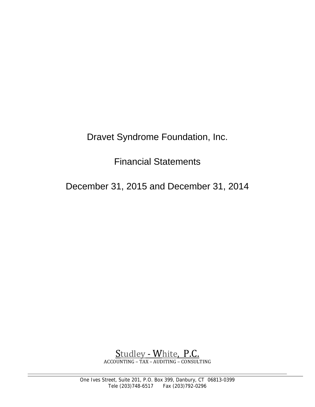Dravet Syndrome Foundation, Inc.

Financial Statements

December 31, 2015 and December 31, 2014

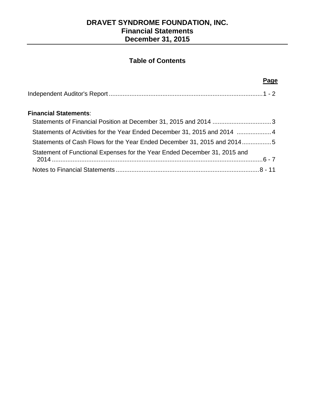# **Table of Contents**

#### **Page** (2008) and the contract of the contract of the contract of the contract of the contract of the contract of the contract of the contract of the contract of the contract of the contract of the contract of the contract

## **Financial Statements**:

| Statements of Activities for the Year Ended December 31, 2015 and 2014  4 |  |
|---------------------------------------------------------------------------|--|
| Statements of Cash Flows for the Year Ended December 31, 2015 and 20145   |  |
| Statement of Functional Expenses for the Year Ended December 31, 2015 and |  |
|                                                                           |  |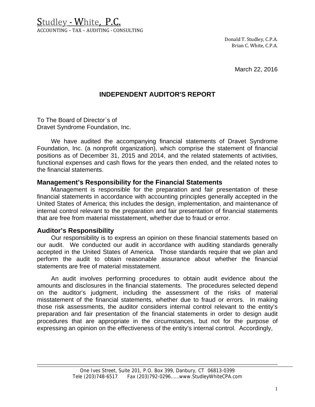Studley - White, P.C. ACCOUNTING – TAX – AUDITING - CONSULTING

> Donald T. Studley, C.P.A. Brian C. White, C.P.A.

> > March 22, 2016

## **INDEPENDENT AUDITOR'S REPORT**

To The Board of Director`s of Dravet Syndrome Foundation, Inc.

We have audited the accompanying financial statements of Dravet Syndrome Foundation, Inc. (a nonprofit organization), which comprise the statement of financial positions as of December 31, 2015 and 2014, and the related statements of activities, functional expenses and cash flows for the years then ended, and the related notes to the financial statements.

### **Management's Responsibility for the Financial Statements**

Management is responsible for the preparation and fair presentation of these financial statements in accordance with accounting principles generally accepted in the United States of America; this includes the design, implementation, and maintenance of internal control relevant to the preparation and fair presentation of financial statements that are free from material misstatement, whether due to fraud or error.

#### **Auditor's Responsibility**

Our responsibility is to express an opinion on these financial statements based on our audit. We conducted our audit in accordance with auditing standards generally accepted in the United States of America. Those standards require that we plan and perform the audit to obtain reasonable assurance about whether the financial statements are free of material misstatement.

An audit involves performing procedures to obtain audit evidence about the amounts and disclosures in the financial statements. The procedures selected depend on the auditor's judgment, including the assessment of the risks of material misstatement of the financial statements, whether due to fraud or errors. In making those risk assessments, the auditor considers internal control relevant to the entity's preparation and fair presentation of the financial statements in order to design audit procedures that are appropriate in the circumstances, but not for the purpose of expressing an opinion on the effectiveness of the entity's internal control. Accordingly,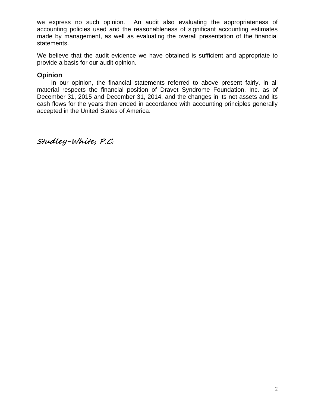we express no such opinion. An audit also evaluating the appropriateness of accounting policies used and the reasonableness of significant accounting estimates made by management, as well as evaluating the overall presentation of the financial statements.

We believe that the audit evidence we have obtained is sufficient and appropriate to provide a basis for our audit opinion.

## **Opinion**

In our opinion, the financial statements referred to above present fairly, in all material respects the financial position of Dravet Syndrome Foundation, Inc. as of December 31, 2015 and December 31, 2014, and the changes in its net assets and its cash flows for the years then ended in accordance with accounting principles generally accepted in the United States of America.

**Studley-White, P.C.**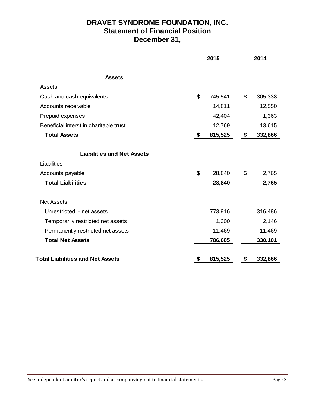## **DRAVET SYNDROME FOUNDATION, INC. Statement of Financial Position December 31,**

|                                         |                | 2015    |    | 2014    |  |
|-----------------------------------------|----------------|---------|----|---------|--|
| <b>Assets</b>                           |                |         |    |         |  |
| Assets                                  |                |         |    |         |  |
| Cash and cash equivalents               | \$             | 745,541 | \$ | 305,338 |  |
| Accounts receivable                     |                | 14,811  |    | 12,550  |  |
| Prepaid expenses                        |                | 42,404  |    | 1,363   |  |
| Beneficial interst in charitable trust  |                | 12,769  |    | 13,615  |  |
| <b>Total Assets</b>                     | \$             | 815,525 | \$ | 332,866 |  |
| <b>Liabilities and Net Assets</b>       |                |         |    |         |  |
| Liabilities                             |                |         |    |         |  |
| Accounts payable                        | $\mathfrak{L}$ | 28,840  | \$ | 2,765   |  |
| <b>Total Liabilities</b>                |                | 28,840  |    | 2,765   |  |
| Net Assets                              |                |         |    |         |  |
| Unrestricted - net assets               |                | 773,916 |    | 316,486 |  |
| Temporarily restricted net assets       |                | 1,300   |    | 2,146   |  |
| Permanently restricted net assets       |                | 11,469  |    | 11,469  |  |
| <b>Total Net Assets</b>                 |                | 786,685 |    | 330,101 |  |
| <b>Total Liabilities and Net Assets</b> | S              | 815,525 | \$ | 332,866 |  |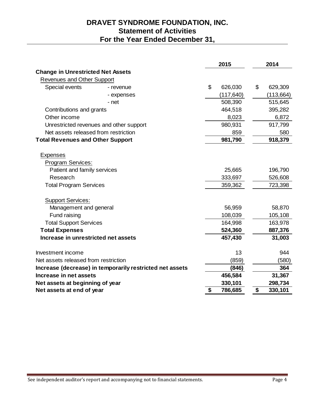# **DRAVET SYNDROME FOUNDATION, INC. Statement of Activities For the Year Ended December 31,**

|                                          |                                                          |                | 2015       | 2014          |
|------------------------------------------|----------------------------------------------------------|----------------|------------|---------------|
| <b>Change in Unrestricted Net Assets</b> |                                                          |                |            |               |
| Revenues and Other Support               |                                                          |                |            |               |
| Special events                           | - revenue                                                | $\mathfrak{L}$ | 626,030    | \$<br>629,309 |
|                                          | - expenses                                               |                | (117, 640) | (113, 664)    |
|                                          | - net                                                    |                | 508,390    | 515,645       |
| Contributions and grants                 |                                                          |                | 464,518    | 395,282       |
| Other income                             |                                                          |                | 8,023      | 6,872         |
| Unrestricted revenues and other support  |                                                          |                | 980,931    | 917,799       |
| Net assets released from restriction     |                                                          |                | 859        | 580           |
| <b>Total Revenues and Other Support</b>  |                                                          |                | 981,790    | 918,379       |
|                                          |                                                          |                |            |               |
| <b>Expenses</b><br>Program Services:     |                                                          |                |            |               |
| Patient and family services              |                                                          |                | 25,665     | 196,790       |
| Research                                 |                                                          |                | 333,697    | 526,608       |
| <b>Total Program Services</b>            |                                                          |                | 359,362    | 723,398       |
|                                          |                                                          |                |            |               |
| <b>Support Services:</b>                 |                                                          |                |            |               |
| Management and general                   |                                                          |                | 56,959     | 58,870        |
| Fund raising                             |                                                          |                | 108,039    | 105,108       |
| <b>Total Support Services</b>            |                                                          |                | 164,998    | 163,978       |
| <b>Total Expenses</b>                    |                                                          |                | 524,360    | 887,376       |
| Increase in unrestricted net assets      |                                                          |                | 457,430    | 31,003        |
| Investment income                        |                                                          |                | 13         | 944           |
| Net assets released from restriction     |                                                          |                | (859)      | (580)         |
|                                          | Increase (decrease) in temporarily restricted net assets |                | (846)      | 364           |
| Increase in net assets                   |                                                          |                | 456,584    | 31,367        |
| Net assets at beginning of year          |                                                          |                | 330,101    | 298,734       |
| Net assets at end of year                |                                                          | \$             | 786,685    | \$<br>330,101 |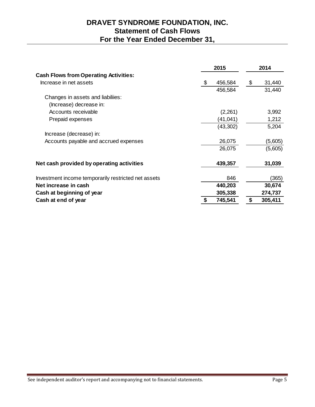# **DRAVET SYNDROME FOUNDATION, INC. Statement of Cash Flows For the Year Ended December 31,**

|                                                     | 2015 |           | 2014 |         |  |
|-----------------------------------------------------|------|-----------|------|---------|--|
| <b>Cash Flows from Operating Activities:</b>        |      |           |      |         |  |
| Increase in net assets                              | \$   | 456,584   | \$   | 31,440  |  |
|                                                     |      | 456,584   |      | 31,440  |  |
| Changes in assets and liabiliies:                   |      |           |      |         |  |
| (Increase) decrease in:                             |      |           |      |         |  |
| Accounts receivable                                 |      | (2,261)   |      | 3,992   |  |
| Prepaid expenses                                    |      | (41, 041) |      | 1,212   |  |
|                                                     |      | (43, 302) |      | 5,204   |  |
| Increase (decrease) in:                             |      |           |      |         |  |
| Accounts payable and accrued expenses               |      | 26,075    |      | (5,605) |  |
|                                                     |      | 26,075    |      | (5,605) |  |
| Net cash provided by operating activities           |      | 439,357   |      | 31,039  |  |
| Investment income temporarily restricted net assets |      | 846       |      | (365)   |  |
| Net increase in cash                                |      | 440,203   |      | 30,674  |  |
| Cash at beginning of year                           |      | 305,338   |      | 274,737 |  |
| Cash at end of year                                 |      | 745,541   | \$   | 305,411 |  |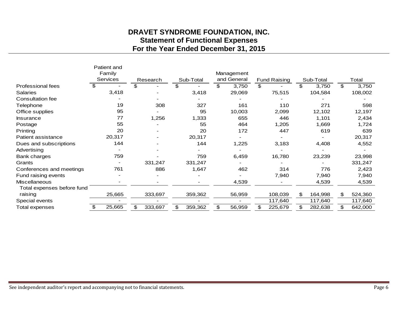# **DRAVET SYNDROME FOUNDATION, INC. Statement of Functional Expenses For the Year Ended December 31, 2015**

|                            |          | Patient and |                       |         |    |             |                     |               |           |         |       |         |
|----------------------------|----------|-------------|-----------------------|---------|----|-------------|---------------------|---------------|-----------|---------|-------|---------|
|                            |          | Family      |                       |         |    |             | Management          |               |           |         |       |         |
|                            | Services |             | Sub-Total<br>Research |         |    | and General | <b>Fund Raising</b> |               | Sub-Total |         | Total |         |
| <b>Professional fees</b>   | \$       |             | \$                    |         | \$ |             | \$<br>3,750         | \$            | \$        | 3,750   | \$    | 3,750   |
| <b>Salaries</b>            |          | 3,418       |                       |         |    | 3,418       | 29,069              | 75,515        |           | 104,584 |       | 108,002 |
| Consultation fee           |          |             |                       |         |    |             |                     |               |           |         |       |         |
| Telephone                  |          | 19          |                       | 308     |    | 327         | 161                 | 110           |           | 271     |       | 598     |
| Office supplies            |          | 95          |                       |         |    | 95          | 10,003              | 2,099         |           | 12,102  |       | 12,197  |
| <b>Insurance</b>           |          | 77          |                       | 1,256   |    | 1,333       | 655                 | 446           |           | 1,101   |       | 2,434   |
| Postage                    |          | 55          |                       |         |    | 55          | 464                 | 1,205         |           | 1,669   |       | 1,724   |
| Printing                   |          | 20          |                       |         |    | 20          | 172                 | 447           |           | 619     |       | 639     |
| Patient assistance         |          | 20,317      |                       |         |    | 20,317      |                     |               |           |         |       | 20,317  |
| Dues and subscriptions     |          | 144         |                       |         |    | 144         | 1,225               | 3,183         |           | 4,408   |       | 4,552   |
| Advertising                |          |             |                       |         |    |             |                     |               |           |         |       |         |
| Bank charges               |          | 759         |                       |         |    | 759         | 6,459               | 16,780        |           | 23,239  |       | 23,998  |
| Grants                     |          |             |                       | 331,247 |    | 331,247     |                     |               |           |         |       | 331,247 |
| Conferences and meetings   |          | 761         |                       | 886     |    | 1,647       | 462                 | 314           |           | 776     |       | 2,423   |
| Fund raising events        |          |             |                       |         |    |             |                     | 7,940         |           | 7,940   |       | 7,940   |
| Miscellaneous              |          |             |                       |         |    |             | 4,539               |               |           | 4,539   |       | 4,539   |
| Total expenses before fund |          |             |                       |         |    |             |                     |               |           |         |       |         |
| raising                    |          | 25,665      |                       | 333,697 |    | 359,362     | 56,959              | 108,039       | \$        | 164,998 | \$    | 524,360 |
| Special events             |          |             |                       |         |    |             |                     | 117,640       |           | 117,640 |       | 117,640 |
| <b>Total expenses</b>      |          | 25,665      | \$                    | 333,697 | \$ | 359,362     | \$<br>56,959        | \$<br>225,679 | \$        | 282,638 | \$    | 642,000 |
|                            |          |             |                       |         |    |             |                     |               |           |         |       |         |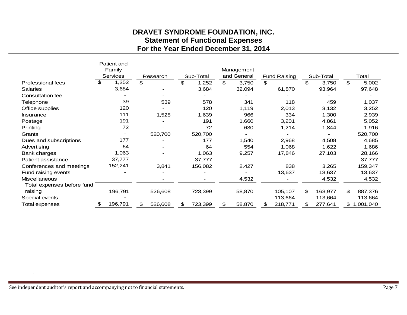# **DRAVET SYNDROME FOUNDATION, INC. Statement of Functional Expenses For the Year Ended December 31, 2014**

|                            |    | Patient and     |    |          |    |           |                |             |    |              |    |           |    |           |
|----------------------------|----|-----------------|----|----------|----|-----------|----------------|-------------|----|--------------|----|-----------|----|-----------|
|                            |    | Family          |    |          |    |           |                | Management  |    |              |    |           |    |           |
|                            |    | <b>Services</b> |    | Research |    | Sub-Total |                | and General |    | Fund Raising |    | Sub-Total |    | Total     |
| Professional fees          | \$ | 1,252           | \$ |          | \$ | 1,252     | $\mathfrak{L}$ | 3,750       | \$ |              | \$ | 3,750     | \$ | 5,002     |
| Salaries                   |    | 3,684           |    |          |    | 3,684     |                | 32,094      |    | 61,870       |    | 93,964    |    | 97,648    |
| Consultation fee           |    |                 |    |          |    |           |                |             |    |              |    |           |    |           |
| Telephone                  |    | 39              |    | 539      |    | 578       |                | 341         |    | 118          |    | 459       |    | 1,037     |
| Office supplies            |    | 120             |    |          |    | 120       |                | 1,119       |    | 2,013        |    | 3,132     |    | 3,252     |
| Insurance                  |    | 111             |    | 1,528    |    | 1,639     |                | 966         |    | 334          |    | 1,300     |    | 2,939     |
| Postage                    |    | 191             |    |          |    | 191       |                | 1,660       |    | 3,201        |    | 4,861     |    | 5,052     |
| Printing                   |    | 72              |    |          |    | 72        |                | 630         |    | 1,214        |    | 1,844     |    | 1,916     |
| Grants                     |    |                 |    | 520,700  |    | 520,700   |                |             |    |              |    |           |    | 520,700   |
| Dues and subscriptions     |    | 177             |    |          |    | 177       |                | 1,540       |    | 2,968        |    | 4,508     |    | 4,685     |
| Advertising                |    | 64              |    |          |    | 64        |                | 554         |    | 1,068        |    | 1,622     |    | 1,686     |
| Bank charges               |    | 1,063           |    |          |    | 1,063     |                | 9,257       |    | 17,846       |    | 27,103    |    | 28,166    |
| Patient assistance         |    | 37,777          |    |          |    | 37,777    |                |             |    |              |    |           |    | 37,777    |
| Conferences and meetings   |    | 152,241         |    | 3,841    |    | 156,082   |                | 2,427       |    | 838          |    | 3,265     |    | 159,347   |
| Fund raising events        |    |                 |    |          |    |           |                |             |    | 13,637       |    | 13,637    |    | 13,637    |
| <b>Miscellaneous</b>       |    |                 |    |          |    |           |                | 4,532       |    |              |    | 4,532     |    | 4,532     |
| Total expenses before fund |    |                 |    |          |    |           |                |             |    |              |    |           |    |           |
| raising                    |    | 196,791         |    | 526,608  |    | 723,399   |                | 58,870      |    | 105,107      | \$ | 163,977   | \$ | 887,376   |
| Special events             |    |                 |    |          |    |           |                |             |    | 113,664      |    | 113,664   |    | 113,664   |
| Total expenses             | \$ | 196,791         |    | 526,608  |    | 723,399   | \$             | 58,870      |    | 218,771      |    | 277,641   | \$ | 1,001,040 |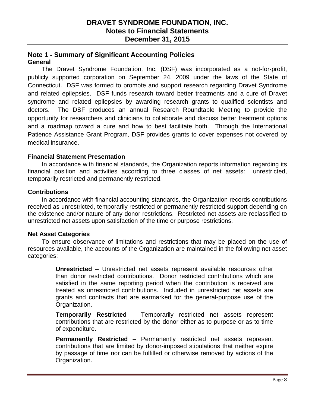### **Note 1 - Summary of Significant Accounting Policies General**

The Dravet Syndrome Foundation, Inc. (DSF) was incorporated as a not-for-profit, publicly supported corporation on September 24, 2009 under the laws of the State of Connecticut. DSF was formed to promote and support research regarding Dravet Syndrome and related epilepsies. DSF funds research toward better treatments and a cure of Dravet syndrome and related epilepsies by awarding research grants to qualified scientists and doctors. The DSF produces an annual Research Roundtable Meeting to provide the opportunity for researchers and clinicians to collaborate and discuss better treatment options and a roadmap toward a cure and how to best facilitate both. Through the International Patience Assistance Grant Program, DSF provides grants to cover expenses not covered by medical insurance.

### **Financial Statement Presentation**

In accordance with financial standards, the Organization reports information regarding its financial position and activities according to three classes of net assets: unrestricted, temporarily restricted and permanently restricted.

### **Contributions**

In accordance with financial accounting standards, the Organization records contributions received as unrestricted, temporarily restricted or permanently restricted support depending on the existence and/or nature of any donor restrictions. Restricted net assets are reclassified to unrestricted net assets upon satisfaction of the time or purpose restrictions.

#### **Net Asset Categories**

To ensure observance of limitations and restrictions that may be placed on the use of resources available, the accounts of the Organization are maintained in the following net asset categories:

> **Unrestricted** – Unrestricted net assets represent available resources other than donor restricted contributions. Donor restricted contributions which are satisfied in the same reporting period when the contribution is received are treated as unrestricted contributions. Included in unrestricted net assets are grants and contracts that are earmarked for the general-purpose use of the Organization.

> **Temporarily Restricted** – Temporarily restricted net assets represent contributions that are restricted by the donor either as to purpose or as to time of expenditure.

> **Permanently Restricted** – Permanently restricted net assets represent contributions that are limited by donor-imposed stipulations that neither expire by passage of time nor can be fulfilled or otherwise removed by actions of the Organization.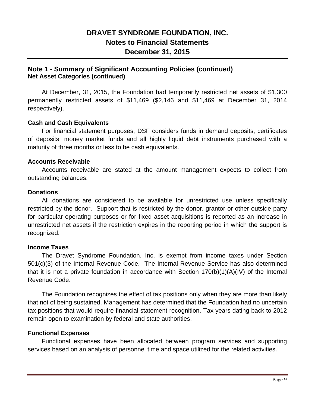## **Note 1 - Summary of Significant Accounting Policies (continued) Net Asset Categories (continued)**

At December, 31, 2015, the Foundation had temporarily restricted net assets of \$1,300 permanently restricted assets of \$11,469 (\$2,146 and \$11,469 at December 31, 2014 respectively).

#### **Cash and Cash Equivalents**

For financial statement purposes, DSF considers funds in demand deposits, certificates of deposits, money market funds and all highly liquid debt instruments purchased with a maturity of three months or less to be cash equivalents.

#### **Accounts Receivable**

Accounts receivable are stated at the amount management expects to collect from outstanding balances.

#### **Donations**

All donations are considered to be available for unrestricted use unless specifically restricted by the donor. Support that is restricted by the donor, grantor or other outside party for particular operating purposes or for fixed asset acquisitions is reported as an increase in unrestricted net assets if the restriction expires in the reporting period in which the support is recognized.

#### **Income Taxes**

The Dravet Syndrome Foundation, Inc. is exempt from income taxes under Section 501(c)(3) of the Internal Revenue Code. The Internal Revenue Service has also determined that it is not a private foundation in accordance with Section 170(b)(1)(A)(IV) of the Internal Revenue Code.

The Foundation recognizes the effect of tax positions only when they are more than likely that not of being sustained. Management has determined that the Foundation had no uncertain tax positions that would require financial statement recognition. Tax years dating back to 2012 remain open to examination by federal and state authorities.

#### **Functional Expenses**

Functional expenses have been allocated between program services and supporting services based on an analysis of personnel time and space utilized for the related activities.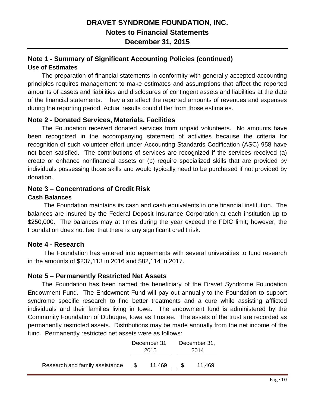## **Note 1 - Summary of Significant Accounting Policies (continued) Use of Estimates**

The preparation of financial statements in conformity with generally accepted accounting principles requires management to make estimates and assumptions that affect the reported amounts of assets and liabilities and disclosures of contingent assets and liabilities at the date of the financial statements. They also affect the reported amounts of revenues and expenses during the reporting period. Actual results could differ from those estimates.

## **Note 2 - Donated Services, Materials, Facilities**

The Foundation received donated services from unpaid volunteers. No amounts have been recognized in the accompanying statement of activities because the criteria for recognition of such volunteer effort under Accounting Standards Codification (ASC) 958 have not been satisfied. The contributions of services are recognized if the services received (a) create or enhance nonfinancial assets or (b) require specialized skills that are provided by individuals possessing those skills and would typically need to be purchased if not provided by donation.

## **Note 3 – Concentrations of Credit Risk**

### **Cash Balances**

The Foundation maintains its cash and cash equivalents in one financial institution. The balances are insured by the Federal Deposit Insurance Corporation at each institution up to \$250,000. The balances may at times during the year exceed the FDIC limit; however, the Foundation does not feel that there is any significant credit risk.

### **Note 4 - Research**

The Foundation has entered into agreements with several universities to fund research in the amounts of \$237,113 in 2016 and \$82,114 in 2017.

#### **Note 5 – Permanently Restricted Net Assets**

The Foundation has been named the beneficiary of the Dravet Syndrome Foundation Endowment Fund. The Endowment Fund will pay out annually to the Foundation to support syndrome specific research to find better treatments and a cure while assisting afflicted individuals and their families living in Iowa. The endowment fund is administered by the Community Foundation of Dubuque, Iowa as Trustee. The assets of the trust are recorded as permanently restricted assets. Distributions may be made annually from the net income of the fund. Permanently restricted net assets were as follows:

|                                | December 31, |      | December 31, |  |  |  |
|--------------------------------|--------------|------|--------------|--|--|--|
|                                | 2015         | 2014 |              |  |  |  |
| Research and family assistance | 11,469       |      | 11,469       |  |  |  |
|                                |              |      |              |  |  |  |